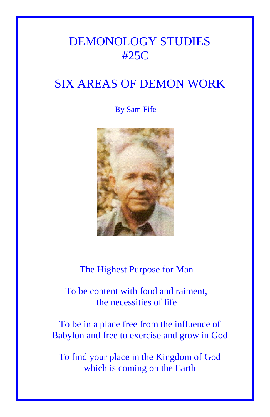# DEMONOLOGY STUDIES #25C

# SIX AREAS OF DEMON WORK

# By Sam Fife



The Highest Purpose for Man

 To be content with food and raiment, the necessities of life

To be in a place free from the influence of Babylon and free to exercise and grow in God

To find your place in the Kingdom of God which is coming on the Earth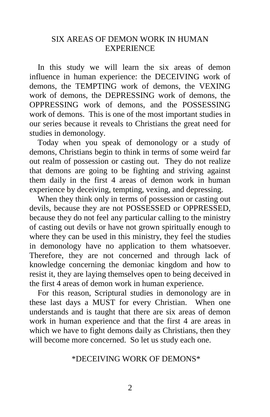## SIX AREAS OF DEMON WORK IN HUMAN **EXPERIENCE**

 In this study we will learn the six areas of demon influence in human experience: the DECEIVING work of demons, the TEMPTING work of demons, the VEXING work of demons, the DEPRESSING work of demons, the OPPRESSING work of demons, and the POSSESSING work of demons. This is one of the most important studies in our series because it reveals to Christians the great need for studies in demonology.

 Today when you speak of demonology or a study of demons, Christians begin to think in terms of some weird far out realm of possession or casting out. They do not realize that demons are going to be fighting and striving against them daily in the first 4 areas of demon work in human experience by deceiving, tempting, vexing, and depressing.

 When they think only in terms of possession or casting out devils, because they are not POSSESSED or OPPRESSED, because they do not feel any particular calling to the ministry of casting out devils or have not grown spiritually enough to where they can be used in this ministry, they feel the studies in demonology have no application to them whatsoever. Therefore, they are not concerned and through lack of knowledge concerning the demoniac kingdom and how to resist it, they are laying themselves open to being deceived in the first 4 areas of demon work in human experience.

 For this reason, Scriptural studies in demonology are in these last days a MUST for every Christian. When one understands and is taught that there are six areas of demon work in human experience and that the first 4 are areas in which we have to fight demons daily as Christians, then they will become more concerned. So let us study each one.

## \*DECEIVING WORK OF DEMONS\*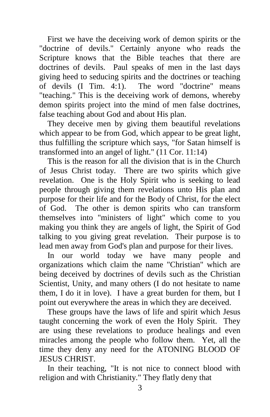First we have the deceiving work of demon spirits or the "doctrine of devils." Certainly anyone who reads the Scripture knows that the Bible teaches that there are doctrines of devils. Paul speaks of men in the last days giving heed to seducing spirits and the doctrines or teaching of devils (I Tim. 4:1). The word "doctrine" means "teaching." This is the deceiving work of demons, whereby demon spirits project into the mind of men false doctrines, false teaching about God and about His plan.

 They deceive men by giving them beautiful revelations which appear to be from God, which appear to be great light, thus fulfilling the scripture which says, "for Satan himself is transformed into an angel of light." (11 Cor. 11:14)

 This is the reason for all the division that is in the Church of Jesus Christ today. There are two spirits which give revelation. One is the Holy Spirit who is seeking to lead people through giving them revelations unto His plan and purpose for their life and for the Body of Christ, for the elect of God. The other is demon spirits who can transform themselves into "ministers of light" which come to you making you think they are angels of light, the Spirit of God talking to you giving great revelation. Their purpose is to lead men away from God's plan and purpose for their lives.

 In our world today we have many people and organizations which claim the name "Christian" which are being deceived by doctrines of devils such as the Christian Scientist, Unity, and many others (I do not hesitate to name them, I do it in love). I have a great burden for them, but I point out everywhere the areas in which they are deceived.

 These groups have the laws of life and spirit which Jesus taught concerning the work of even the Holy Spirit. They are using these revelations to produce healings and even miracles among the people who follow them. Yet, all the time they deny any need for the ATONING BLOOD OF JESUS CHRIST.

 In their teaching, "It is not nice to connect blood with religion and with Christianity." They flatly deny that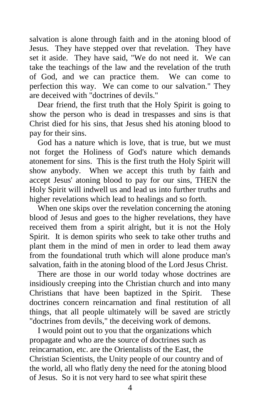salvation is alone through faith and in the atoning blood of Jesus. They have stepped over that revelation. They have set it aside. They have said, "We do not need it. We can take the teachings of the law and the revelation of the truth of God, and we can practice them. We can come to perfection this way. We can come to our salvation." They are deceived with "doctrines of devils."

 Dear friend, the first truth that the Holy Spirit is going to show the person who is dead in trespasses and sins is that Christ died for his sins, that Jesus shed his atoning blood to pay for their sins.

 God has a nature which is love, that is true, but we must not forget the Holiness of God's nature which demands atonement for sins. This is the first truth the Holy Spirit will show anybody. When we accept this truth by faith and accept Jesus' atoning blood to pay for our sins, THEN the Holy Spirit will indwell us and lead us into further truths and higher revelations which lead to healings and so forth.

 When one skips over the revelation concerning the atoning blood of Jesus and goes to the higher revelations, they have received them from a spirit alright, but it is not the Holy Spirit. It is demon spirits who seek to take other truths and plant them in the mind of men in order to lead them away from the foundational truth which will alone produce man's salvation, faith in the atoning blood of the Lord Jesus Christ.

 There are those in our world today whose doctrines are insidiously creeping into the Christian church and into many Christians that have been baptized in the Spirit. These doctrines concern reincarnation and final restitution of all things, that all people ultimately will be saved are strictly "doctrines from devils," the deceiving work of demons.

 I would point out to you that the organizations which propagate and who are the source of doctrines such as reincarnation, etc. are the Orientalists of the East, the Christian Scientists, the Unity people of our country and of the world, all who flatly deny the need for the atoning blood of Jesus. So it is not very hard to see what spirit these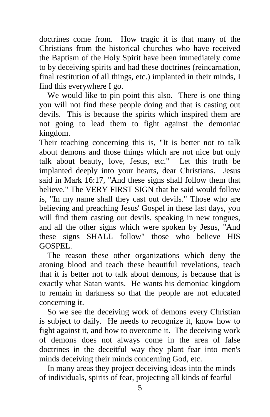doctrines come from. How tragic it is that many of the Christians from the historical churches who have received the Baptism of the Holy Spirit have been immediately come to by deceiving spirits and had these doctrines (reincarnation, final restitution of all things, etc.) implanted in their minds, I find this everywhere I go.

We would like to pin point this also. There is one thing you will not find these people doing and that is casting out devils. This is because the spirits which inspired them are not going to lead them to fight against the demoniac kingdom.

Their teaching concerning this is, "It is better not to talk about demons and those things which are not nice but only talk about beauty, love, Jesus, etc." Let this truth be implanted deeply into your hearts, dear Christians. Jesus said in Mark 16:17, "And these signs shall follow them that believe." The VERY FIRST SIGN that he said would follow is, "In my name shall they cast out devils." Those who are believing and preaching Jesus' Gospel in these last days, you will find them casting out devils, speaking in new tongues, and all the other signs which were spoken by Jesus, "And these signs SHALL follow" those who believe HIS GOSPEL.

 The reason these other organizations which deny the atoning blood and teach these beautiful revelations, teach that it is better not to talk about demons, is because that is exactly what Satan wants. He wants his demoniac kingdom to remain in darkness so that the people are not educated concerning it.

 So we see the deceiving work of demons every Christian is subject to daily. He needs to recognize it, know how to fight against it, and how to overcome it. The deceiving work of demons does not always come in the area of false doctrines in the deceitful way they plant fear into men's minds deceiving their minds concerning God, etc.

 In many areas they project deceiving ideas into the minds of individuals, spirits of fear, projecting all kinds of fearful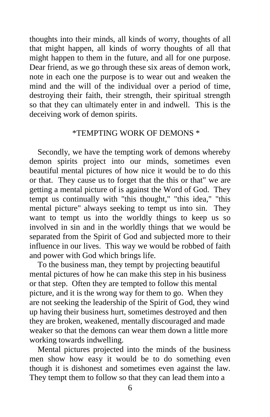thoughts into their minds, all kinds of worry, thoughts of all that might happen, all kinds of worry thoughts of all that might happen to them in the future, and all for one purpose. Dear friend, as we go through these six areas of demon work, note in each one the purpose is to wear out and weaken the mind and the will of the individual over a period of time, destroying their faith, their strength, their spiritual strength so that they can ultimately enter in and indwell. This is the deceiving work of demon spirits.

#### \*TEMPTING WORK OF DEMONS \*

 Secondly, we have the tempting work of demons whereby demon spirits project into our minds, sometimes even beautiful mental pictures of how nice it would be to do this or that. They cause us to forget that the this or that" we are getting a mental picture of is against the Word of God. They tempt us continually with "this thought," "this idea," "this mental picture" always seeking to tempt us into sin. They want to tempt us into the worldly things to keep us so involved in sin and in the worldly things that we would be separated from the Spirit of God and subjected more to their influence in our lives. This way we would be robbed of faith and power with God which brings life.

 To the business man, they tempt by projecting beautiful mental pictures of how he can make this step in his business or that step. Often they are tempted to follow this mental picture, and it is the wrong way for them to go. When they are not seeking the leadership of the Spirit of God, they wind up having their business hurt, sometimes destroyed and then they are broken, weakened, mentally discouraged and made weaker so that the demons can wear them down a little more working towards indwelling.

 Mental pictures projected into the minds of the business men show how easy it would be to do something even though it is dishonest and sometimes even against the law. They tempt them to follow so that they can lead them into a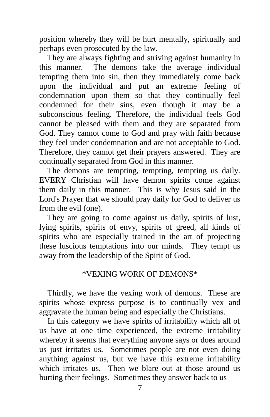position whereby they will be hurt mentally, spiritually and perhaps even prosecuted by the law.

 They are always fighting and striving against humanity in this manner. The demons take the average individual tempting them into sin, then they immediately come back upon the individual and put an extreme feeling of condemnation upon them so that they continually feel condemned for their sins, even though it may be a subconscious feeling. Therefore, the individual feels God cannot be pleased with them and they are separated from God. They cannot come to God and pray with faith because they feel under condemnation and are not acceptable to God. Therefore, they cannot get their prayers answered. They are continually separated from God in this manner.

 The demons are tempting, tempting, tempting us daily. EVERY Christian will have demon spirits come against them daily in this manner. This is why Jesus said in the Lord's Prayer that we should pray daily for God to deliver us from the evil (one).

 They are going to come against us daily, spirits of lust, lying spirits, spirits of envy, spirits of greed, all kinds of spirits who are especially trained in the art of projecting these luscious temptations into our minds. They tempt us away from the leadership of the Spirit of God.

## \*VEXING WORK OF DEMONS\*

 Thirdly, we have the vexing work of demons. These are spirits whose express purpose is to continually vex and aggravate the human being and especially the Christians.

 In this category we have spirits of irritability which all of us have at one time experienced, the extreme irritability whereby it seems that everything anyone says or does around us just irritates us. Sometimes people are not even doing anything against us, but we have this extreme irritability which irritates us. Then we blare out at those around us hurting their feelings. Sometimes they answer back to us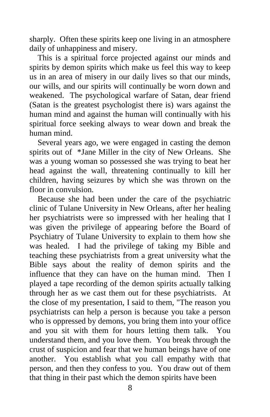sharply. Often these spirits keep one living in an atmosphere daily of unhappiness and misery.

 This is a spiritual force projected against our minds and spirits by demon spirits which make us feel this way to keep us in an area of misery in our daily lives so that our minds, our wills, and our spirits will continually be worn down and weakened. The psychological warfare of Satan, dear friend (Satan is the greatest psychologist there is) wars against the human mind and against the human will continually with his spiritual force seeking always to wear down and break the human mind.

 Several years ago, we were engaged in casting the demon spirits out of \*Jane Miller in the city of New Orleans. She was a young woman so possessed she was trying to beat her head against the wall, threatening continually to kill her children, having seizures by which she was thrown on the floor in convulsion.

 Because she had been under the care of the psychiatric clinic of Tulane University in New Orleans, after her healing her psychiatrists were so impressed with her healing that I was given the privilege of appearing before the Board of Psychiatry of Tulane University to explain to them how she was healed. I had the privilege of taking my Bible and teaching these psychiatrists from a great university what the Bible says about the reality of demon spirits and the influence that they can have on the human mind. Then I played a tape recording of the demon spirits actually talking through her as we cast them out for these psychiatrists. At the close of my presentation, I said to them, "The reason you psychiatrists can help a person is because you take a person who is oppressed by demons, you bring them into your office and you sit with them for hours letting them talk. You understand them, and you love them. You break through the crust of suspicion and fear that we human beings have of one another. You establish what you call empathy with that person, and then they confess to you. You draw out of them that thing in their past which the demon spirits have been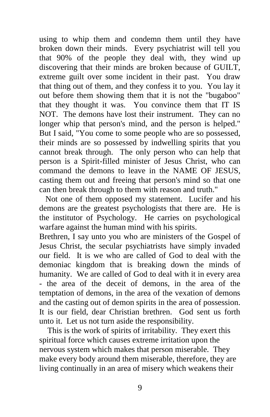using to whip them and condemn them until they have broken down their minds. Every psychiatrist will tell you that 90% of the people they deal with, they wind up discovering that their minds are broken because of GUILT, extreme guilt over some incident in their past. You draw that thing out of them, and they confess it to you. You lay it out before them showing them that it is not the "bugaboo" that they thought it was. You convince them that IT IS NOT. The demons have lost their instrument. They can no longer whip that person's mind, and the person is helped." But I said, "You come to some people who are so possessed, their minds are so possessed by indwelling spirits that you cannot break through. The only person who can help that person is a Spirit-filled minister of Jesus Christ, who can command the demons to leave in the NAME OF JESUS, casting them out and freeing that person's mind so that one can then break through to them with reason and truth."

 Not one of them opposed my statement. Lucifer and his demons are the greatest psychologists that there are. He is the institutor of Psychology. He carries on psychological warfare against the human mind with his spirits.

Brethren, I say unto you who are ministers of the Gospel of Jesus Christ, the secular psychiatrists have simply invaded our field. It is we who are called of God to deal with the demoniac kingdom that is breaking down the minds of humanity. We are called of God to deal with it in every area - the area of the deceit of demons, in the area of the temptation of demons, in the area of the vexation of demons and the casting out of demon spirits in the area of possession. It is our field, dear Christian brethren. God sent us forth unto it. Let us not turn aside the responsibility.

 This is the work of spirits of irritability. They exert this spiritual force which causes extreme irritation upon the nervous system which makes that person miserable. They make every body around them miserable, therefore, they are living continually in an area of misery which weakens their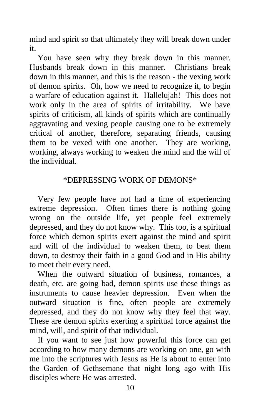mind and spirit so that ultimately they will break down under it.

 You have seen why they break down in this manner. Husbands break down in this manner. Christians break down in this manner, and this is the reason - the vexing work of demon spirits. Oh, how we need to recognize it, to begin a warfare of education against it. Hallelujah! This does not work only in the area of spirits of irritability. We have spirits of criticism, all kinds of spirits which are continually aggravating and vexing people causing one to be extremely critical of another, therefore, separating friends, causing them to be vexed with one another. They are working, working, always working to weaken the mind and the will of the individual.

# \*DEPRESSING WORK OF DEMONS\*

 Very few people have not had a time of experiencing extreme depression. Often times there is nothing going wrong on the outside life, yet people feel extremely depressed, and they do not know why. This too, is a spiritual force which demon spirits exert against the mind and spirit and will of the individual to weaken them, to beat them down, to destroy their faith in a good God and in His ability to meet their every need.

 When the outward situation of business, romances, a death, etc. are going bad, demon spirits use these things as instruments to cause heavier depression. Even when the outward situation is fine, often people are extremely depressed, and they do not know why they feel that way. These are demon spirits exerting a spiritual force against the mind, will, and spirit of that individual.

 If you want to see just how powerful this force can get according to how many demons are working on one, go with me into the scriptures with Jesus as He is about to enter into the Garden of Gethsemane that night long ago with His disciples where He was arrested.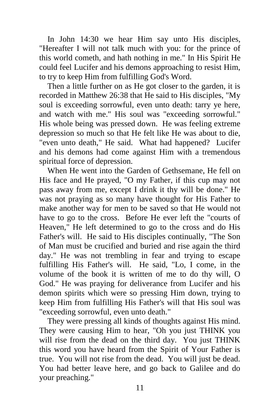In John 14:30 we hear Him say unto His disciples, "Hereafter I will not talk much with you: for the prince of this world cometh, and hath nothing in me." In His Spirit He could feel Lucifer and his demons approaching to resist Him, to try to keep Him from fulfilling God's Word.

 Then a little further on as He got closer to the garden, it is recorded in Matthew 26:38 that He said to His disciples, "My soul is exceeding sorrowful, even unto death: tarry ye here, and watch with me." His soul was "exceeding sorrowful." His whole being was pressed down. He was feeling extreme depression so much so that He felt like He was about to die, "even unto death," He said. What had happened? Lucifer and his demons had come against Him with a tremendous spiritual force of depression.

 When He went into the Garden of Gethsemane, He fell on His face and He prayed, "O my Father, if this cup may not pass away from me, except I drink it thy will be done." He was not praying as so many have thought for His Father to make another way for men to be saved so that He would not have to go to the cross. Before He ever left the "courts of Heaven," He left determined to go to the cross and do His Father's will. He said to His disciples continually, "The Son of Man must be crucified and buried and rise again the third day." He was not trembling in fear and trying to escape fulfilling His Father's will. He said, "Lo, I come, in the volume of the book it is written of me to do thy will, O God." He was praying for deliverance from Lucifer and his demon spirits which were so pressing Him down, trying to keep Him from fulfilling His Father's will that His soul was "exceeding sorrowful, even unto death."

 They were pressing all kinds of thoughts against His mind. They were causing Him to hear, "Oh you just THINK you will rise from the dead on the third day. You just THINK this word you have heard from the Spirit of Your Father is true. You will not rise from the dead. You will just be dead. You had better leave here, and go back to Galilee and do your preaching."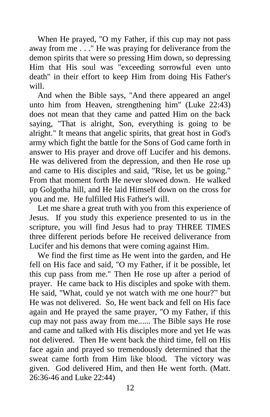When He prayed, "O my Father, if this cup may not pass away from me . . ." He was praying for deliverance from the demon spirits that were so pressing Him down, so depressing Him that His soul was "exceeding sorrowful even unto death" in their effort to keep Him from doing His Father's will.

 And when the Bible says, "And there appeared an angel unto him from Heaven, strengthening him" (Luke 22:43) does not mean that they came and patted Him on the back saying, "That is alright, Son, everything is going to be alright." It means that angelic spirits, that great host in God's army which fight the battle for the Sons of God came forth in answer to His prayer and drove off Lucifer and his demons. He was delivered from the depression, and then He rose up and came to His disciples and said, "Rise, let us be going." From that moment forth He never slowed down. He walked up Golgotha hill, and He laid Himself down on the cross for you and me. He fulfilled His Father's will.

 Let me share a great truth with you from this experience of Jesus. If you study this experience presented to us in the scripture, you will find Jesus had to pray THREE TIMES three different periods before He received deliverance from Lucifer and his demons that were coming against Him.

 We find the first time as He went into the garden, and He fell on His face and said, "O my Father, if it be possible, let this cup pass from me." Then He rose up after a period of prayer. He came back to His disciples and spoke with them. He said, "What, could ye not watch with me one hour?" but He was not delivered. So, He went back and fell on His face again and He prayed the same prayer, "O my Father, if this cup may not pass away from me...... The Bible says He rose and came and talked with His disciples more and yet He was not delivered. Then He went back the third time, fell on His face again and prayed so tremendously determined that the sweat came forth from Him like blood. The victory was given. God delivered Him, and then He went forth. (Matt. 26:36-46 and Luke 22:44)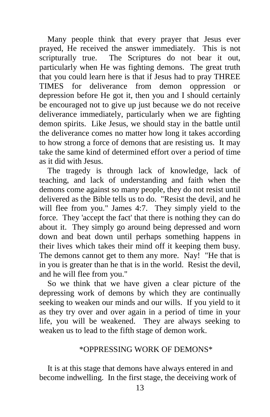Many people think that every prayer that Jesus ever prayed, He received the answer immediately. This is not scripturally true. The Scriptures do not bear it out, particularly when He was fighting demons. The great truth that you could learn here is that if Jesus had to pray THREE TIMES for deliverance from demon oppression or depression before He got it, then you and I should certainly be encouraged not to give up just because we do not receive deliverance immediately, particularly when we are fighting demon spirits. Like Jesus, we should stay in the battle until the deliverance comes no matter how long it takes according to how strong a force of demons that are resisting us. It may take the same kind of determined effort over a period of time as it did with Jesus.

 The tragedy is through lack of knowledge, lack of teaching, and lack of understanding and faith when the demons come against so many people, they do not resist until delivered as the Bible tells us to do. "Resist the devil, and he will flee from you." James 4:7. They simply yield to the force. They 'accept the fact' that there is nothing they can do about it. They simply go around being depressed and worn down and beat down until perhaps something happens in their lives which takes their mind off it keeping them busy. The demons cannot get to them any more. Nay! "He that is in you is greater than he that is in the world. Resist the devil, and he will flee from you."

 So we think that we have given a clear picture of the depressing work of demons by which they are continually seeking to weaken our minds and our wills. If you yield to it as they try over and over again in a period of time in your life, you will be weakened. They are always seeking to weaken us to lead to the fifth stage of demon work.

### \*OPPRESSING WORK OF DEMONS\*

 It is at this stage that demons have always entered in and become indwelling. In the first stage, the deceiving work of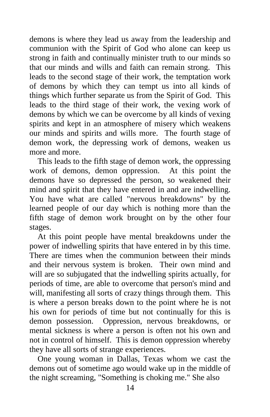demons is where they lead us away from the leadership and communion with the Spirit of God who alone can keep us strong in faith and continually minister truth to our minds so that our minds and wills and faith can remain strong. This leads to the second stage of their work, the temptation work of demons by which they can tempt us into all kinds of things which further separate us from the Spirit of God. This leads to the third stage of their work, the vexing work of demons by which we can be overcome by all kinds of vexing spirits and kept in an atmosphere of misery which weakens our minds and spirits and wills more. The fourth stage of demon work, the depressing work of demons, weaken us more and more.

 This leads to the fifth stage of demon work, the oppressing work of demons, demon oppression. At this point the demons have so depressed the person, so weakened their mind and spirit that they have entered in and are indwelling. You have what are called "nervous breakdowns" by the learned people of our day which is nothing more than the fifth stage of demon work brought on by the other four stages.

 At this point people have mental breakdowns under the power of indwelling spirits that have entered in by this time. There are times when the communion between their minds and their nervous system is broken. Their own mind and will are so subjugated that the indwelling spirits actually, for periods of time, are able to overcome that person's mind and will, manifesting all sorts of crazy things through them. This is where a person breaks down to the point where he is not his own for periods of time but not continually for this is demon possession. Oppression, nervous breakdowns, or mental sickness is where a person is often not his own and not in control of himself. This is demon oppression whereby they have all sorts of strange experiences.

 One young woman in Dallas, Texas whom we cast the demons out of sometime ago would wake up in the middle of the night screaming, "Something is choking me." She also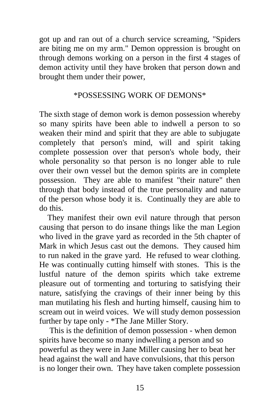got up and ran out of a church service screaming, "Spiders are biting me on my arm." Demon oppression is brought on through demons working on a person in the first 4 stages of demon activity until they have broken that person down and brought them under their power,

## \*POSSESSING WORK OF DEMONS\*

The sixth stage of demon work is demon possession whereby so many spirits have been able to indwell a person to so weaken their mind and spirit that they are able to subjugate completely that person's mind, will and spirit taking complete possession over that person's whole body, their whole personality so that person is no longer able to rule over their own vessel but the demon spirits are in complete possession. They are able to manifest "their nature" then through that body instead of the true personality and nature of the person whose body it is. Continually they are able to do this.

 They manifest their own evil nature through that person causing that person to do insane things like the man Legion who lived in the grave yard as recorded in the 5th chapter of Mark in which Jesus cast out the demons. They caused him to run naked in the grave yard. He refused to wear clothing. He was continually cutting himself with stones. This is the lustful nature of the demon spirits which take extreme pleasure out of tormenting and torturing to satisfying their nature, satisfying the cravings of their inner being by this man mutilating his flesh and hurting himself, causing him to scream out in weird voices. We will study demon possession further by tape only - \*The Jane Miller Story.

 This is the definition of demon possession - when demon spirits have become so many indwelling a person and so powerful as they were in Jane Miller causing her to beat her head against the wall and have convulsions, that this person is no longer their own. They have taken complete possession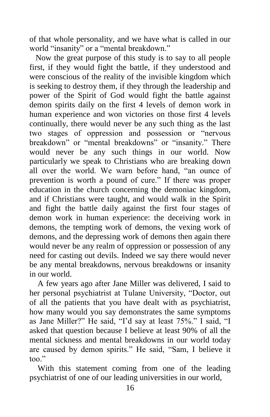of that whole personality, and we have what is called in our world "insanity" or a "mental breakdown."

 Now the great purpose of this study is to say to all people first, if they would fight the battle, if they understood and were conscious of the reality of the invisible kingdom which is seeking to destroy them, if they through the leadership and power of the Spirit of God would fight the battle against demon spirits daily on the first 4 levels of demon work in human experience and won victories on those first 4 levels continually, there would never be any such thing as the last two stages of oppression and possession or "nervous breakdown" or "mental breakdowns" or "insanity." There would never be any such things in our world. Now particularly we speak to Christians who are breaking down all over the world. We warn before hand, "an ounce of prevention is worth a pound of cure." If there was proper education in the church concerning the demoniac kingdom, and if Christians were taught, and would walk in the Spirit and fight the battle daily against the first four stages of demon work in human experience: the deceiving work in demons, the tempting work of demons, the vexing work of demons, and the depressing work of demons then again there would never be any realm of oppression or possession of any need for casting out devils. Indeed we say there would never be any mental breakdowns, nervous breakdowns or insanity in our world.

 A few years ago after Jane Miller was delivered, I said to her personal psychiatrist at Tulane University, "Doctor, out of all the patients that you have dealt with as psychiatrist, how many would you say demonstrates the same symptoms as Jane Miller?" He said, "I'd say at least 75%." I said, "I asked that question because I believe at least 90% of all the mental sickness and mental breakdowns in our world today are caused by demon spirits." He said, "Sam, I believe it too."

 With this statement coming from one of the leading psychiatrist of one of our leading universities in our world,